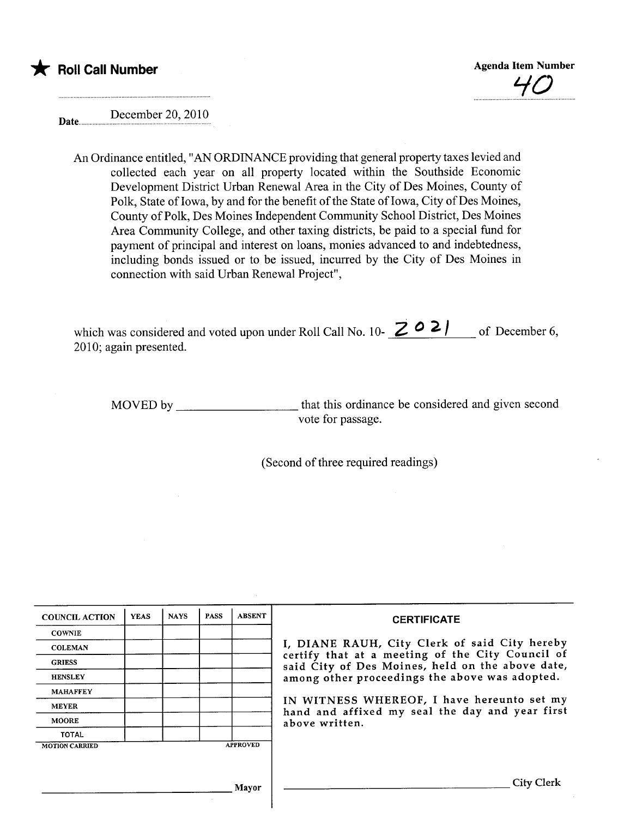



Date............ December 20, 2010

> An Ordinance entitled, "AN ORDINANCE providing that general property taxes levied and collected each year on all property located within the Southside Economic Development District Urban Renewal Area in the City of Des Moines, County of Polk, State of Iowa, by and for the benefit of the State of Iowa, City of Des Moines, County of Polk, Des Moines Independent Community School District, Des Moines Area Community College, and other taxing districts, be paid to a special fund for payment of principal and interest on loans, monies advanced to and indebtedness, including bonds issued or to be issued, incurred by the City of Des Moines in connection with said Urban Renewal Project",

which was considered and voted upon under Roll Call No. 10- $\angle 0$  /  $\frac{1}{\sqrt{2}}$  of December 6, 2010; again presented.

MOVED by that this ordinance be considered and given second vote for passage.

(Second of three required readings)

| <b>COUNCIL ACTION</b> | <b>YEAS</b> | <b>NAYS</b> | <b>PASS</b> | <b>ABSENT</b>   | <b>CERTIFICATE</b>                                                                                |
|-----------------------|-------------|-------------|-------------|-----------------|---------------------------------------------------------------------------------------------------|
| <b>COWNIE</b>         |             |             |             |                 |                                                                                                   |
| <b>COLEMAN</b>        |             |             |             |                 | I, DIANE RAUH, City Clerk of said City hereby<br>certify that at a meeting of the City Council of |
| <b>GRIESS</b>         |             |             |             |                 | said City of Des Moines, held on the above date,                                                  |
| <b>HENSLEY</b>        |             |             |             |                 | among other proceedings the above was adopted.                                                    |
| <b>MAHAFFEY</b>       |             |             |             |                 |                                                                                                   |
| <b>MEYER</b>          |             |             |             |                 | IN WITNESS WHEREOF, I have hereunto set my<br>hand and affixed my seal the day and year first     |
| <b>MOORE</b>          |             |             |             |                 | above written.                                                                                    |
| <b>TOTAL</b>          |             |             |             |                 |                                                                                                   |
| <b>MOTION CARRIED</b> |             |             |             | <b>APPROVED</b> |                                                                                                   |
|                       |             |             |             |                 |                                                                                                   |
|                       |             |             |             | Mayor           | City Clerk                                                                                        |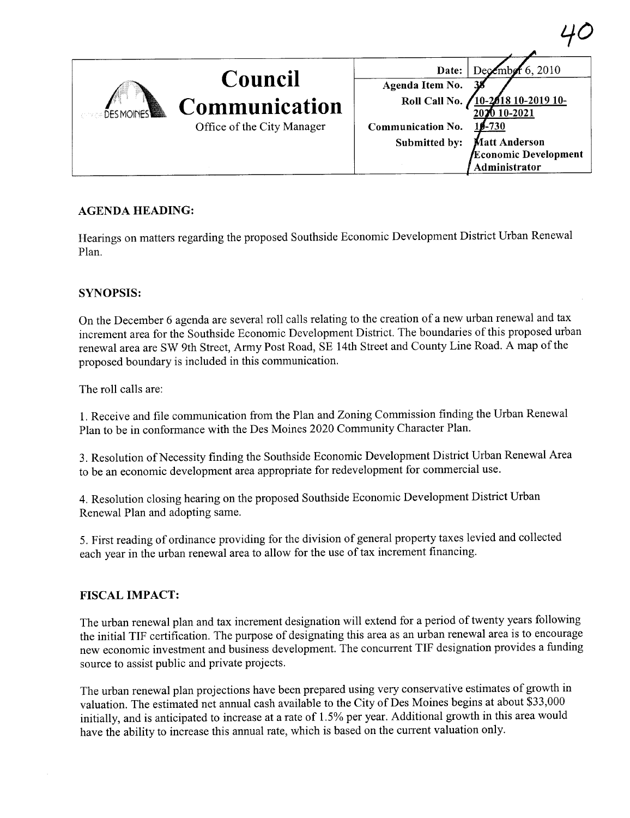| Council<br>Communication<br>Office of the City Manager | December 6, 2010<br>Date:<br>Agenda Item No.<br>Roll Call No.<br><b>2618 10-2019 10-</b><br>VO 10-2021<br>Communication No.<br><b>\$-730</b><br>Submitted by:<br><b>Matt Anderson</b><br>Economic Development<br>Administrator |
|--------------------------------------------------------|--------------------------------------------------------------------------------------------------------------------------------------------------------------------------------------------------------------------------------|

# AGENDA HEADING:

Hearings on matters regarding the proposed Southside Economic Development District Urban Renewal Plan.

## SYNOPSIS:

On the December 6 agenda are several roll calls relating to the creation of a new urban renewal and tax increment area for the Southside Economic Development District. The boundaries of this proposed urban renewal area are SW 9th Street, Army Post Road, SE 14th Street and County Line Road. A map of the proposed boundary is included in this communication.

The roll calls are:

1. Receive and fie communication from the Plan and Zoning Commission finding the Urban Renewal Plan to be in conformance with the Des Moines 2020 Community Character Plan.

3. Resolution of Necessity finding the Southside Economic Development District Urban Renewal Area to be an economic development area appropriate for redevelopment for commercial use.

4. Resolution closing hearing on the proposed Southside Economic Development District Urban Renewal Plan and adopting same.

5. First reading of ordinance providing for the division of general property taxes levied and collected each year in the urban renewal area to allow for the use of tax increment financing.

#### FISCAL IMPACT:

The urban renewal plan and tax increment designation will extend for a period of twenty years following the initial TIF certification. The purpose of designating this area as an urban renewal area is to encourage new economic investment and business development. The concurrent TIF designation provides a funding source to assist public and private projects.

The urban renewal plan projections have been prepared using very conservative estimates of growth in valuation. The estimated net annual cash available to the City of Des Moines begins at about \$33,000 initially, and is anticipated to increase at a rate of 1.5% per year. Additional growth in this area would have the ability to increase this annual rate, which is based on the current valuation only.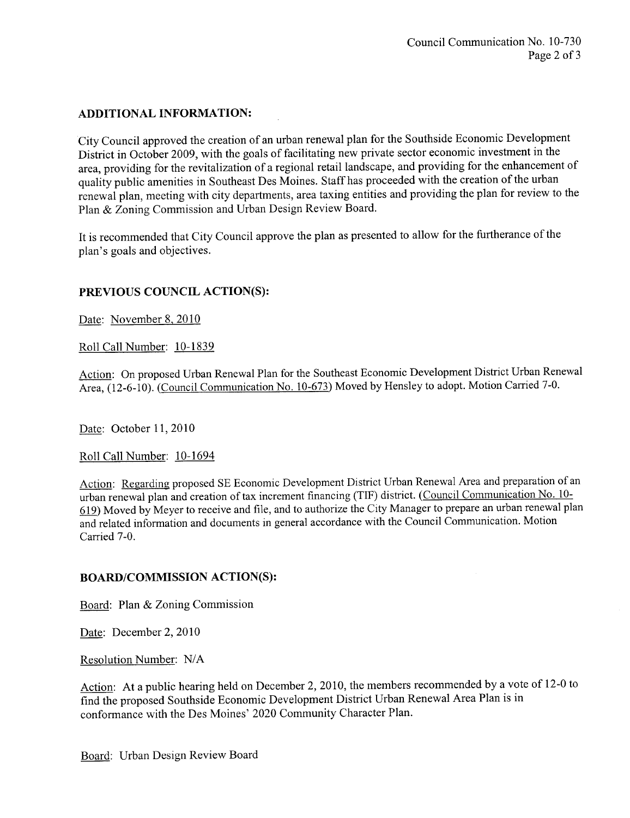### ADDITIONAL INFORMATION:

City Council approved the creation of an urban renewal plan for the Southside Economic Development District in October 2009, with the goals of facilitating new private sector economic investment in the area, providing for the revitalization of a regional retail landscape, and providing for the enhancement of quality public amenities in Southeast Des Moines. Staff has proceeded with the creation of the urban renewal plan, meeting with city departments, area taxing entities and providing the plan for review to the Plan & Zoning Commission and Urban Design Review Board.

It is recommended that City Council approve the plan as presented to allow for the furtherance of the plan's goals and objectives.

## PREVIOUS COUNCIL ACTION(S):

Date: November 8, 2010

Roll Call Number: 10-1839

Action: On proposed Urban Renewal Plan for the Southeast Economic Development District Urban Renewal Area, (12-6-10). (Council Communication No. 10-673) Moved by Hensley to adopt. Motion Carred 7-0.

Date: October 11, 2010

Roll Call Number: 10-1694

Action: Regarding proposed SE Economic Development District Urban Renewal Area and preparation of an urban renewal plan and creation of tax increment financing (TIF) district. (Council Communication No. 10-619) Moved by Meyer to receive and fie, and to authorize the City Manager to prepare an urban renewal plan and related information and documents in general accordance with the Council Communication. Motion Carried 7-0.

#### BOARD/COMMISSION ACTION(S):

Board: Plan & Zoning Commission

Date: December 2, 2010

Resolution Number: N/A

Action: At a public hearing held on December 2,2010, the members recommended by a vote of 12-0 to find the proposed Southside Economic Development District Urban Renewal Area Plan is in conformance with the Des Moines' 2020 Community Character Plan.

Board: Urban Design Review Board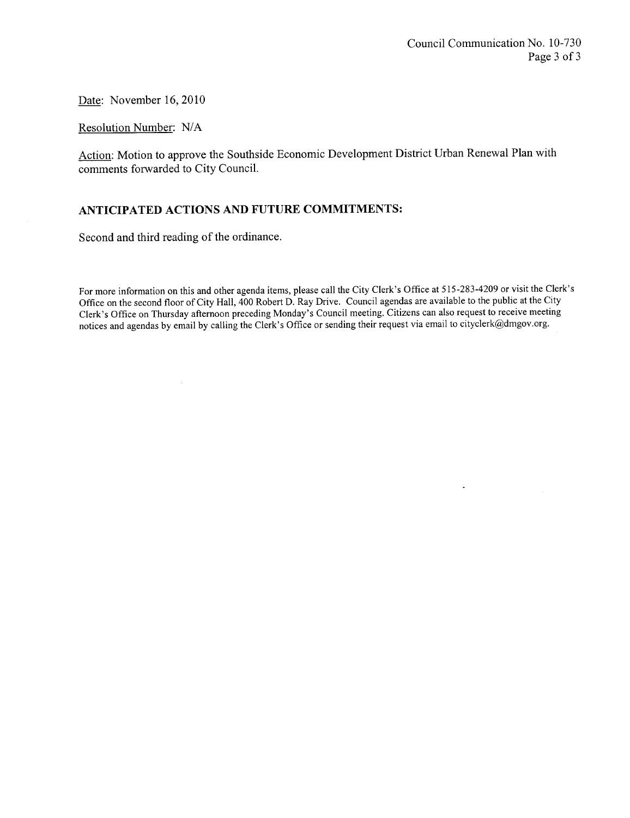$\ddot{\phantom{a}}$ 

Date: November 16,2010

Resolution Number: N/A

Action: Motion to approve the Southside Economic Development District Urban Renewal Plan with comments forwarded to City CounciL.

## ANTICIPATED ACTIONS AND FUTURE COMMITMENTS:

Second and third reading of the ordinance.

For more information on this and other agenda items, please call the City Clerk's Office at 515-283-4209 or visit the Clerk's Offce on the second floor of City Hall, 400 Robert D. Ray Drive. Council agendas are available to the public at the City Clerk's Office on Thursday afternoon preceding Monday's Council meeting. Citizens can also request to receive meeting notices and agendas by email by calling the Clerk's Office or sending their request via email to cityclerk@dmgov.org.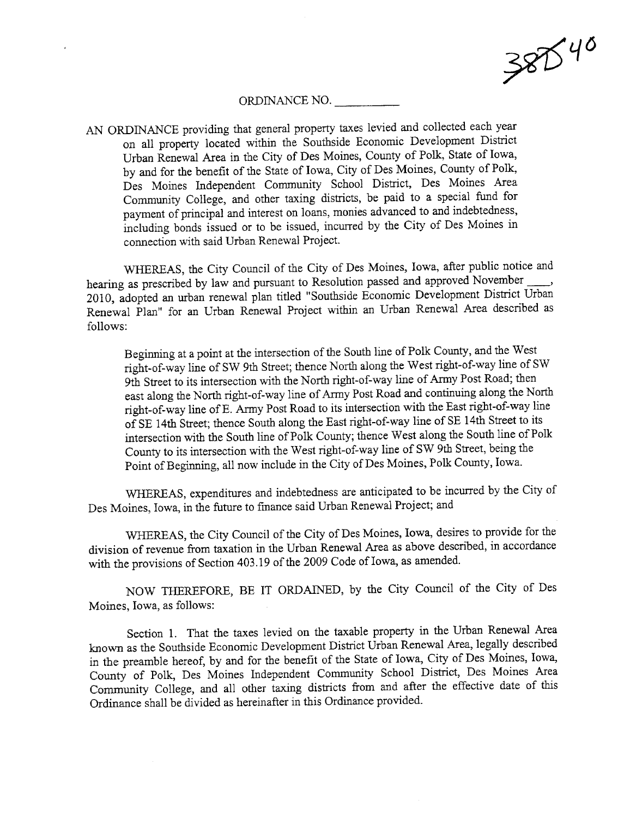

#### ORDINANCE NO.

AN ORDINANCE providing that general property taxes levied and collected each year on all property located within the Southside Economic Development District Urban Renewal Area in the City of Des Moines, County of Polk, State of Iowa, by and for the benefit of the State of Iowa, City of Des Moines, County of Polk, Des Moines Independent Community School District, Des Moines Area Community College, and other taxing districts, be paid to a special fund for payment of principal and interest on loans, monies advanced to and indebtedness, including bonds issued or to be issued, incured by the City of Des Moines in connection with said Urban Renewal Project.

WHEREAS, the City Council of the City of Des Moines, Iowa, after public notice and hearing as prescribed by law and pursuant to Resolution passed and approved November 2010, adopted an urban renewal plan titled "Southside Economic Development District Urban Renewal Plan" for an Urban Renewal Project within an Urban Renewal Area described as follows:

Beginning at a point at the intersection of the South line of Polk County, and the West right-of-way line of SW 9th Street; thence North along the West right-of-way line of SW 9th Street to its intersection with the North right-of-way line of Army Post Road; then east along the North right-of-way line of Army Post Road and continuing along the North right-of-way line of E. Army Post Road to its intersection with the East right-of-way line of SE 14th Street; thence South along the East right-of-way line of SE 14th Street to its intersection with the South line of Polk County; thence West along the South line of Polk County to its intersection with the West right-of-way line of SW 9th Street, being the Point of Beginning, all now include in the City of Des Moines, Polk County, Iowa.

WHREAS, expenditues and indebtedness are anticipated to be incured by the City of Des Moines, Iowa, in the futue to finance said Urban Renewal Project; and

WHEREAS, the City Council of the City of Des Moines, Iowa, desires to provide for the division of revenue from taxation in the Urban Renewal Area as above described, in accordance with the provisions of Section 403.19 of the 2009 Code of Iowa, as amended.

NOW THEREFORE, BE IT ORDAINED, by the City Council of the City of Des Moines, Iowa, as follows:

Section 1. That the taxes levied on the taxable property in the Urban Renewal Area known as the Southside Economic Development District Urban Renewal Area, legally described in the preamble hereof, by and for the benefit of the State of Iowa, City of Des Moines, Iowa, County of Polk, Des Moines Independent Community School District, Des Moines Area Community College, and all other taxing districts from and after the effective date of this Ordinance shall be divided as hereinafter in this Ordinance provided.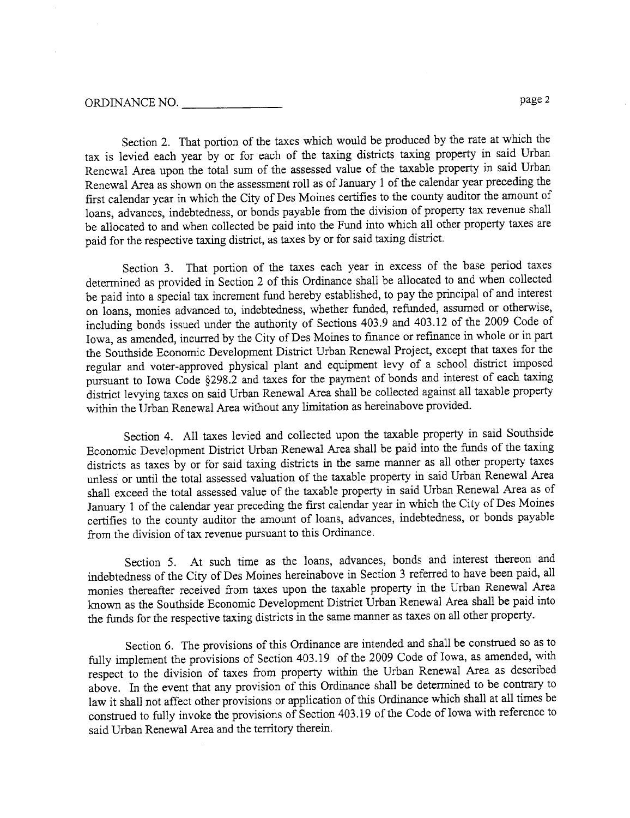### ORDINANCE NO. page 2

Section 2. That portion of the taxes which would be produced by the rate at which the tax is levied each year by or for each of the taxing districts taxing property in said Urban Renewal Area upon the total sum of the assessed value of the taxable property in said Urban Renewal Area as shown on the assessment roll as of January 1 of the calendar year preceding the first calendar year in which the City of Des Moines certfies to the county auditor the amount of loans, advances, indebtedness, or bonds payable from the division of property tax revenue shall be allocated to and when collected be paid into the Fund into which all other property taxes are paid for the respective taxing district, as taxes by or for said taxing district.

Section 3. That portion of the taxes each year in excess of the base period taxes determned as provided in Section 2 of this Ordinance shall be allocated to and when collected be paid into a special tax increment fund hereby established, to pay the principal of and interest on loans, monies advanced to, indebtedness, whether fuded, refuded, assumed or otherwise, including bonds issued under the authority of Sections 403.9 and 403.12 of the 2009 Code of Iowa, as amended, incured by the City of Des Moines to finance or refinance in whole or in par the Southside Economic Development District Urban Renewal Project, except that taxes for the regular and voter-approved physical plant and equipment levy of a school district imposed pursuant to Iowa Code §298.2 and taxes for the payment of bonds and interest of each taxing district levying taxes on said Urban Renewal Area shall be collected against all taxable propert within the Urban Renewal Area without any limitation as hereinabove provided.

Section 4. All taxes levied and collected upon the taxable property in said Southside Economic Development District Urban Renewal Area shall be paid into the funds of the taxing districts as taxes by or for said taxing districts in the same manner as all other property taxes unless or until the total assessed valuation of the taxable property in said Urban Renewal Area shall exceed the total assessed value of the taxable property in said Urban Renewal Area as of January 1 of the calendar year preceding the first calendar year in which the City of Des Moines certifies to the county auditor the amount of loans, advances, indebtedness, or bonds payable from the division of tax revenue pursuant to this Ordinance.

Section 5. At such time as the loans, advances, bonds and interest thereon and indebtedness of the City of Des Moines hereinabove in Section 3 referred to have been paid, all monies thereafter received from taxes upon the taxable property in the Urban Renewal Area known as the Southside Economic Development District Urban Renewal Area shall be paid into the funds for the respective taxing districts in the same manner as taxes on all other property.

Section 6. The provisions of this Ordinance are intended and shall be construed so as to fully implement the provisions of Section 403.19 of the 2009 Code of Iowa, as amended, with respect to the division of taxes from property within the Urban Renewal Area as described above. In the event that any provision of this Ordinance shall be determined to be contrary to law it shall not affect other provisions or application of ths Ordinance which shall at all times be construed to fully invoke the provisions of Section 403.19 of the Code of Iowa with reference to said Urban Renewal Area and the territory therein.